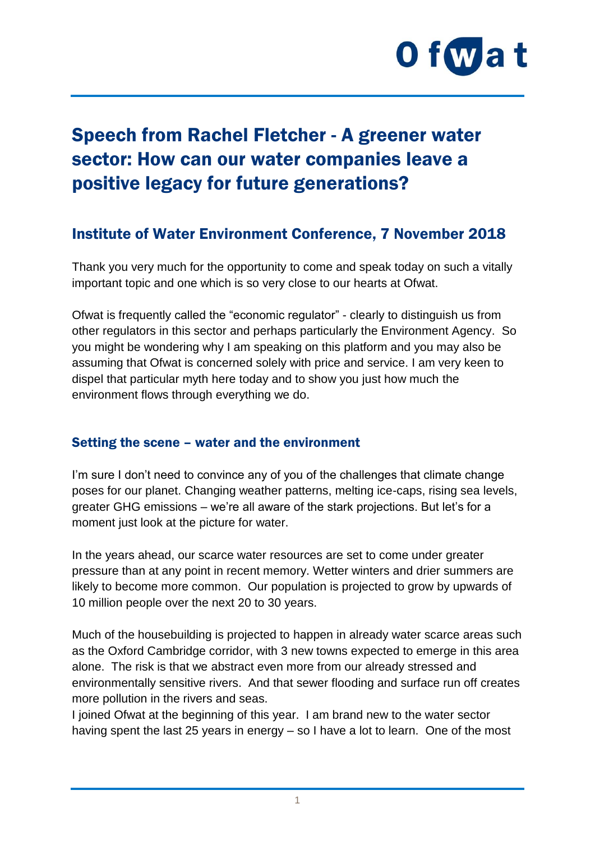

# Speech from Rachel Fletcher - A greener water sector: How can our water companies leave a positive legacy for future generations?

## Institute of Water Environment Conference, 7 November 2018

Thank you very much for the opportunity to come and speak today on such a vitally important topic and one which is so very close to our hearts at Ofwat.

Ofwat is frequently called the "economic regulator" - clearly to distinguish us from other regulators in this sector and perhaps particularly the Environment Agency. So you might be wondering why I am speaking on this platform and you may also be assuming that Ofwat is concerned solely with price and service. I am very keen to dispel that particular myth here today and to show you just how much the environment flows through everything we do.

#### Setting the scene – water and the environment

I'm sure I don't need to convince any of you of the challenges that climate change poses for our planet. Changing weather patterns, melting ice-caps, rising sea levels, greater GHG emissions – we're all aware of the stark projections. But let's for a moment just look at the picture for water.

In the years ahead, our scarce water resources are set to come under greater pressure than at any point in recent memory. Wetter winters and drier summers are likely to become more common. Our population is projected to grow by upwards of 10 million people over the next 20 to 30 years.

Much of the housebuilding is projected to happen in already water scarce areas such as the Oxford Cambridge corridor, with 3 new towns expected to emerge in this area alone. The risk is that we abstract even more from our already stressed and environmentally sensitive rivers. And that sewer flooding and surface run off creates more pollution in the rivers and seas.

I joined Ofwat at the beginning of this year. I am brand new to the water sector having spent the last 25 years in energy – so I have a lot to learn. One of the most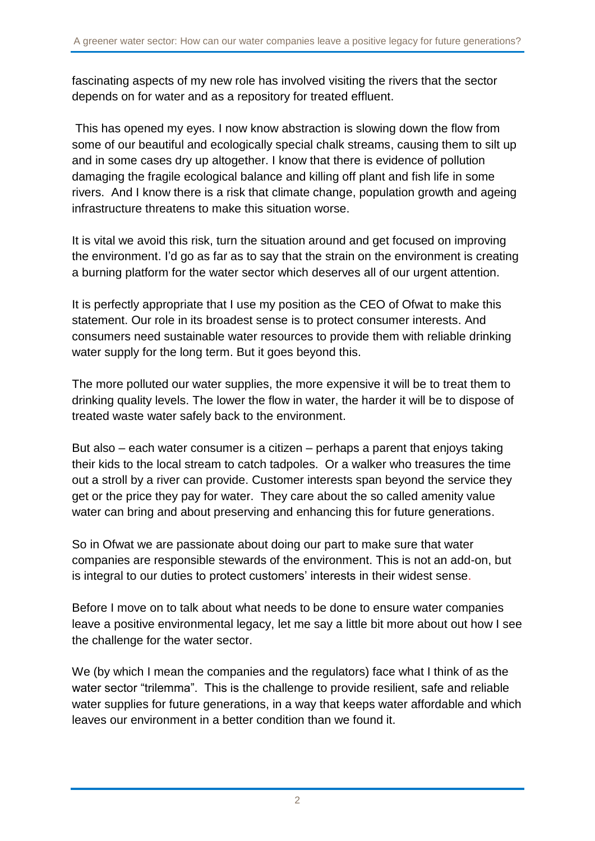fascinating aspects of my new role has involved visiting the rivers that the sector depends on for water and as a repository for treated effluent.

This has opened my eyes. I now know abstraction is slowing down the flow from some of our beautiful and ecologically special chalk streams, causing them to silt up and in some cases dry up altogether. I know that there is evidence of pollution damaging the fragile ecological balance and killing off plant and fish life in some rivers. And I know there is a risk that climate change, population growth and ageing infrastructure threatens to make this situation worse.

It is vital we avoid this risk, turn the situation around and get focused on improving the environment. I'd go as far as to say that the strain on the environment is creating a burning platform for the water sector which deserves all of our urgent attention.

It is perfectly appropriate that I use my position as the CEO of Ofwat to make this statement. Our role in its broadest sense is to protect consumer interests. And consumers need sustainable water resources to provide them with reliable drinking water supply for the long term. But it goes beyond this.

The more polluted our water supplies, the more expensive it will be to treat them to drinking quality levels. The lower the flow in water, the harder it will be to dispose of treated waste water safely back to the environment.

But also – each water consumer is a citizen – perhaps a parent that enjoys taking their kids to the local stream to catch tadpoles. Or a walker who treasures the time out a stroll by a river can provide. Customer interests span beyond the service they get or the price they pay for water. They care about the so called amenity value water can bring and about preserving and enhancing this for future generations.

So in Ofwat we are passionate about doing our part to make sure that water companies are responsible stewards of the environment. This is not an add-on, but is integral to our duties to protect customers' interests in their widest sense.

Before I move on to talk about what needs to be done to ensure water companies leave a positive environmental legacy, let me say a little bit more about out how I see the challenge for the water sector.

We (by which I mean the companies and the regulators) face what I think of as the water sector "trilemma". This is the challenge to provide resilient, safe and reliable water supplies for future generations, in a way that keeps water affordable and which leaves our environment in a better condition than we found it.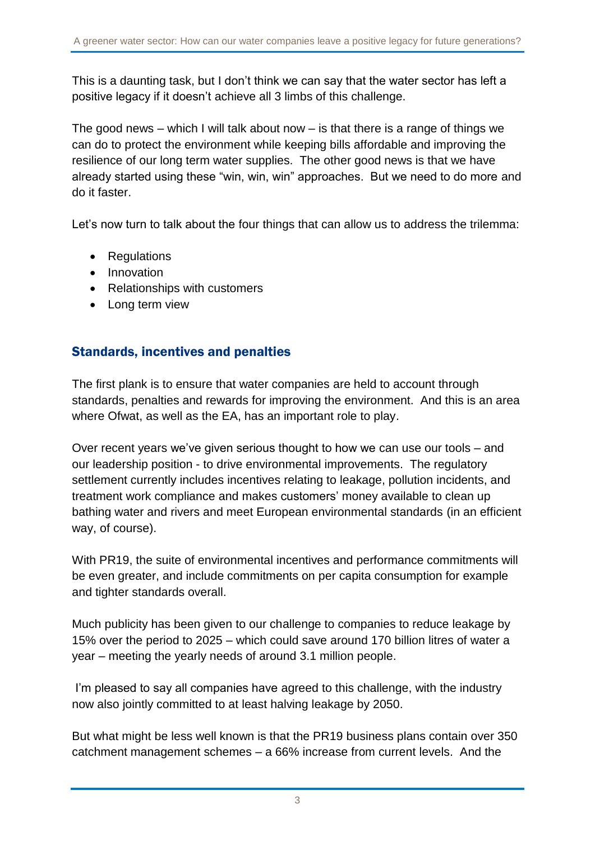This is a daunting task, but I don't think we can say that the water sector has left a positive legacy if it doesn't achieve all 3 limbs of this challenge.

The good news – which I will talk about now – is that there is a range of things we can do to protect the environment while keeping bills affordable and improving the resilience of our long term water supplies. The other good news is that we have already started using these "win, win, win" approaches. But we need to do more and do it faster.

Let's now turn to talk about the four things that can allow us to address the trilemma:

- Regulations
- **•** Innovation
- Relationships with customers
- Long term view

### Standards, incentives and penalties

The first plank is to ensure that water companies are held to account through standards, penalties and rewards for improving the environment. And this is an area where Ofwat, as well as the EA, has an important role to play.

Over recent years we've given serious thought to how we can use our tools – and our leadership position - to drive environmental improvements. The regulatory settlement currently includes incentives relating to leakage, pollution incidents, and treatment work compliance and makes customers' money available to clean up bathing water and rivers and meet European environmental standards (in an efficient way, of course).

With PR19, the suite of environmental incentives and performance commitments will be even greater, and include commitments on per capita consumption for example and tighter standards overall.

Much publicity has been given to our challenge to companies to reduce leakage by 15% over the period to 2025 – which could save around 170 billion litres of water a year – meeting the yearly needs of around 3.1 million people.

I'm pleased to say all companies have agreed to this challenge, with the industry now also jointly committed to at least halving leakage by 2050.

But what might be less well known is that the PR19 business plans contain over 350 catchment management schemes – a 66% increase from current levels. And the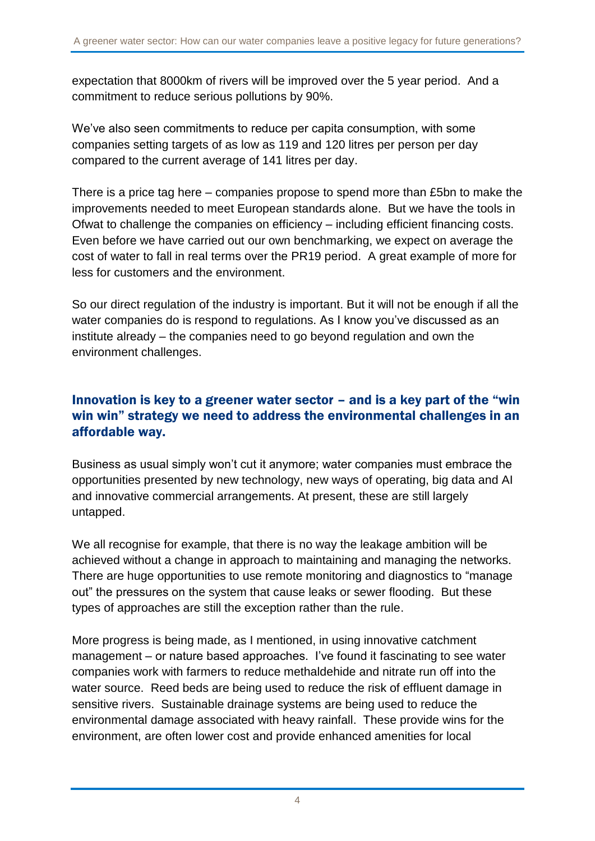expectation that 8000km of rivers will be improved over the 5 year period. And a commitment to reduce serious pollutions by 90%.

We've also seen commitments to reduce per capita consumption, with some companies setting targets of as low as 119 and 120 litres per person per day compared to the current average of 141 litres per day.

There is a price tag here – companies propose to spend more than £5bn to make the improvements needed to meet European standards alone. But we have the tools in Ofwat to challenge the companies on efficiency – including efficient financing costs. Even before we have carried out our own benchmarking, we expect on average the cost of water to fall in real terms over the PR19 period. A great example of more for less for customers and the environment.

So our direct regulation of the industry is important. But it will not be enough if all the water companies do is respond to regulations. As I know you've discussed as an institute already – the companies need to go beyond regulation and own the environment challenges.

#### Innovation is key to a greener water sector – and is a key part of the "win win win" strategy we need to address the environmental challenges in an affordable way.

Business as usual simply won't cut it anymore; water companies must embrace the opportunities presented by new technology, new ways of operating, big data and AI and innovative commercial arrangements. At present, these are still largely untapped.

We all recognise for example, that there is no way the leakage ambition will be achieved without a change in approach to maintaining and managing the networks. There are huge opportunities to use remote monitoring and diagnostics to "manage out" the pressures on the system that cause leaks or sewer flooding. But these types of approaches are still the exception rather than the rule.

More progress is being made, as I mentioned, in using innovative catchment management – or nature based approaches. I've found it fascinating to see water companies work with farmers to reduce methaldehide and nitrate run off into the water source. Reed beds are being used to reduce the risk of effluent damage in sensitive rivers. Sustainable drainage systems are being used to reduce the environmental damage associated with heavy rainfall. These provide wins for the environment, are often lower cost and provide enhanced amenities for local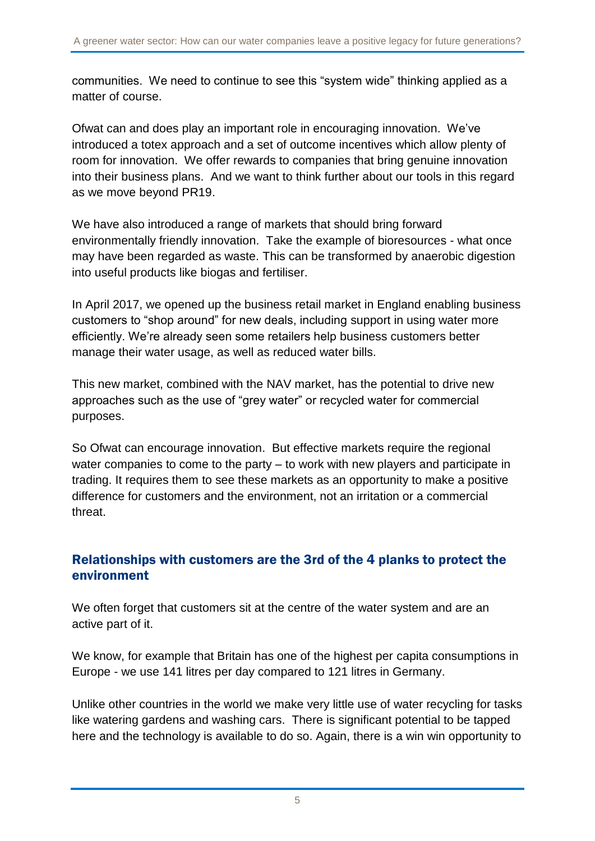communities. We need to continue to see this "system wide" thinking applied as a matter of course.

Ofwat can and does play an important role in encouraging innovation. We've introduced a totex approach and a set of outcome incentives which allow plenty of room for innovation. We offer rewards to companies that bring genuine innovation into their business plans. And we want to think further about our tools in this regard as we move beyond PR19.

We have also introduced a range of markets that should bring forward environmentally friendly innovation. Take the example of bioresources - what once may have been regarded as waste. This can be transformed by anaerobic digestion into useful products like biogas and fertiliser.

In April 2017, we opened up the business retail market in England enabling business customers to "shop around" for new deals, including support in using water more efficiently. We're already seen some retailers help business customers better manage their water usage, as well as reduced water bills.

This new market, combined with the NAV market, has the potential to drive new approaches such as the use of "grey water" or recycled water for commercial purposes.

So Ofwat can encourage innovation. But effective markets require the regional water companies to come to the party – to work with new players and participate in trading. It requires them to see these markets as an opportunity to make a positive difference for customers and the environment, not an irritation or a commercial threat.

#### Relationships with customers are the 3rd of the 4 planks to protect the environment

We often forget that customers sit at the centre of the water system and are an active part of it.

We know, for example that Britain has one of the highest per capita consumptions in Europe - we use 141 litres per day compared to 121 litres in Germany.

Unlike other countries in the world we make very little use of water recycling for tasks like watering gardens and washing cars. There is significant potential to be tapped here and the technology is available to do so. Again, there is a win win opportunity to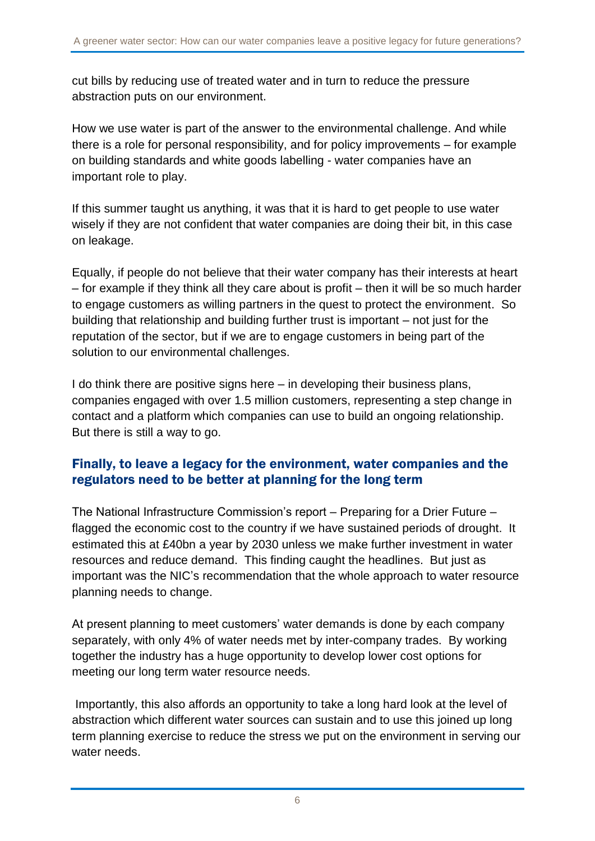cut bills by reducing use of treated water and in turn to reduce the pressure abstraction puts on our environment.

How we use water is part of the answer to the environmental challenge. And while there is a role for personal responsibility, and for policy improvements – for example on building standards and white goods labelling - water companies have an important role to play.

If this summer taught us anything, it was that it is hard to get people to use water wisely if they are not confident that water companies are doing their bit, in this case on leakage.

Equally, if people do not believe that their water company has their interests at heart – for example if they think all they care about is profit – then it will be so much harder to engage customers as willing partners in the quest to protect the environment. So building that relationship and building further trust is important – not just for the reputation of the sector, but if we are to engage customers in being part of the solution to our environmental challenges.

I do think there are positive signs here – in developing their business plans, companies engaged with over 1.5 million customers, representing a step change in contact and a platform which companies can use to build an ongoing relationship. But there is still a way to go.

#### Finally, to leave a legacy for the environment, water companies and the regulators need to be better at planning for the long term

The National Infrastructure Commission's report – Preparing for a Drier Future – flagged the economic cost to the country if we have sustained periods of drought. It estimated this at £40bn a year by 2030 unless we make further investment in water resources and reduce demand. This finding caught the headlines. But just as important was the NIC's recommendation that the whole approach to water resource planning needs to change.

At present planning to meet customers' water demands is done by each company separately, with only 4% of water needs met by inter-company trades. By working together the industry has a huge opportunity to develop lower cost options for meeting our long term water resource needs.

Importantly, this also affords an opportunity to take a long hard look at the level of abstraction which different water sources can sustain and to use this joined up long term planning exercise to reduce the stress we put on the environment in serving our water needs.